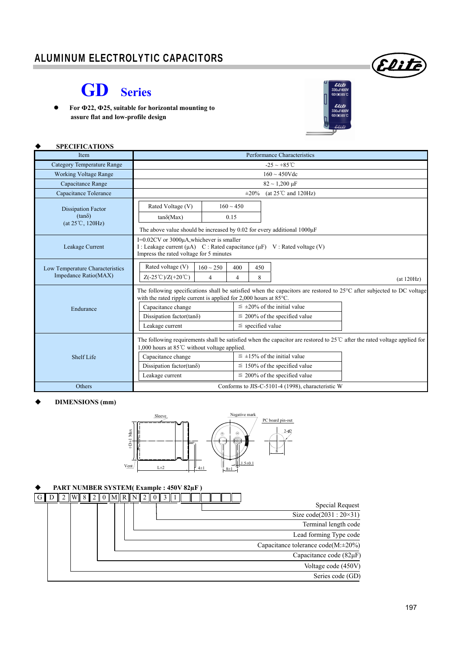### ALUMINUM ELECTROLYTIC CAPACITORS

## **GD Series**

 **For Ф22, Ф25, suitable for horizontal mounting to assure flat and low-profile design** 



Elite

| <b>SPECIFICATIONS</b>                                   |                                                                                                                                                                                                                                                                                                                                                                                  |                                                                              |                                   |  |                                                                                                                   |                                                                                                                                     |  |  |  |  |  |
|---------------------------------------------------------|----------------------------------------------------------------------------------------------------------------------------------------------------------------------------------------------------------------------------------------------------------------------------------------------------------------------------------------------------------------------------------|------------------------------------------------------------------------------|-----------------------------------|--|-------------------------------------------------------------------------------------------------------------------|-------------------------------------------------------------------------------------------------------------------------------------|--|--|--|--|--|
| <b>Item</b>                                             | Performance Characteristics                                                                                                                                                                                                                                                                                                                                                      |                                                                              |                                   |  |                                                                                                                   |                                                                                                                                     |  |  |  |  |  |
| <b>Category Temperature Range</b>                       | $-25 \sim +85^{\circ}$ C                                                                                                                                                                                                                                                                                                                                                         |                                                                              |                                   |  |                                                                                                                   |                                                                                                                                     |  |  |  |  |  |
| <b>Working Voltage Range</b>                            |                                                                                                                                                                                                                                                                                                                                                                                  | $160 \sim 450$ Vdc                                                           |                                   |  |                                                                                                                   |                                                                                                                                     |  |  |  |  |  |
| Capacitance Range                                       |                                                                                                                                                                                                                                                                                                                                                                                  | $82 \sim 1,200 \,\mu F$                                                      |                                   |  |                                                                                                                   |                                                                                                                                     |  |  |  |  |  |
| Capacitance Tolerance                                   | (at $25^{\circ}$ C and 120Hz)<br>$\pm 20\%$                                                                                                                                                                                                                                                                                                                                      |                                                                              |                                   |  |                                                                                                                   |                                                                                                                                     |  |  |  |  |  |
| <b>Dissipation Factor</b>                               | Rated Voltage (V)                                                                                                                                                                                                                                                                                                                                                                |                                                                              | $160 \sim 450$                    |  |                                                                                                                   |                                                                                                                                     |  |  |  |  |  |
| $(tan\delta)$                                           | $tan\delta(Max)$                                                                                                                                                                                                                                                                                                                                                                 |                                                                              | 0.15                              |  |                                                                                                                   |                                                                                                                                     |  |  |  |  |  |
| $(at 25^{\circ}C, 120Hz)$                               |                                                                                                                                                                                                                                                                                                                                                                                  | The above value should be increased by 0.02 for every additional $1000\mu$ F |                                   |  |                                                                                                                   |                                                                                                                                     |  |  |  |  |  |
| Leakage Current                                         | I=0.02CV or 3000µA, whichever is smaller<br>I : Leakage current ( $\mu$ A) C : Rated capacitance ( $\mu$ F) V : Rated voltage (V)<br>Impress the rated voltage for 5 minutes                                                                                                                                                                                                     |                                                                              |                                   |  |                                                                                                                   |                                                                                                                                     |  |  |  |  |  |
| Low Temperature Characteristics<br>Impedance Ratio(MAX) | Rated voltage (V)<br>$Z(-25^{\circ}\text{C})/Z(+20^{\circ}\text{C})$                                                                                                                                                                                                                                                                                                             | $160 \sim 250$<br>$\overline{4}$                                             | 400<br>450<br>8<br>$\overline{4}$ |  |                                                                                                                   | (at 120Hz)                                                                                                                          |  |  |  |  |  |
| Endurance                                               | The following specifications shall be satisfied when the capacitors are restored to 25°C after subjected to DC voltage<br>with the rated ripple current is applied for 2,000 hours at 85°C.<br>$\leq \pm 20\%$ of the initial value<br>Capacitance change<br>Dissipation factor(tan $\delta$ )<br>$\leq$ 200% of the specified value<br>$\le$ specified value<br>Leakage current |                                                                              |                                   |  |                                                                                                                   |                                                                                                                                     |  |  |  |  |  |
| Shelf Life                                              | 1,000 hours at 85°C without voltage applied.<br>Capacitance change<br>Dissipation factor(tan $\delta$ )<br>Leakage current                                                                                                                                                                                                                                                       |                                                                              |                                   |  | $\leq \pm 15\%$ of the initial value<br>$\leq 150\%$ of the specified value<br>$\leq$ 200% of the specified value | The following requirements shall be satisfied when the capacitor are restored to 25 $\degree$ C after the rated voltage applied for |  |  |  |  |  |
| Others                                                  | Conforms to JIS-C-5101-4 (1998), characteristic W                                                                                                                                                                                                                                                                                                                                |                                                                              |                                   |  |                                                                                                                   |                                                                                                                                     |  |  |  |  |  |

#### **DIMENSIONS (mm)**



#### **PART NUMBER SYSTEM( Example : 450V 82µF )**